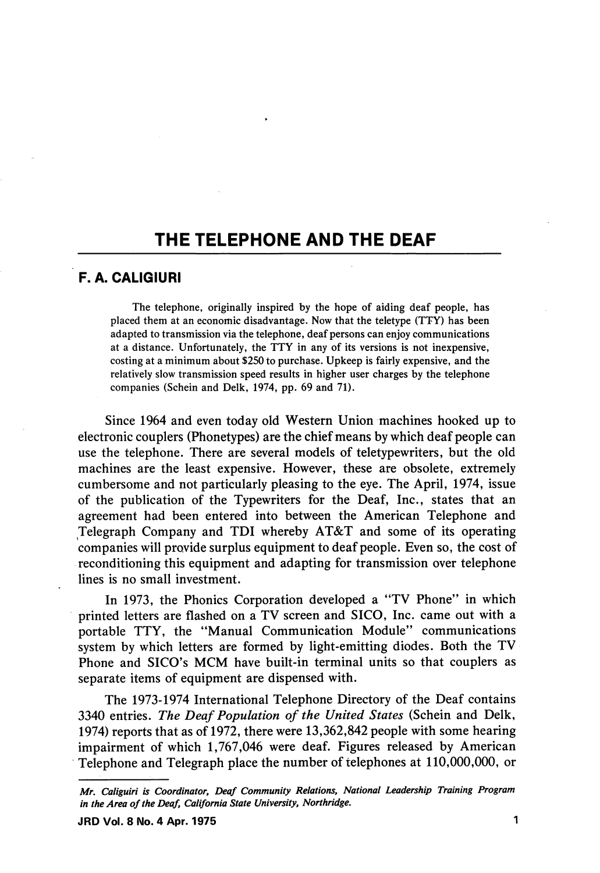## THE TELEPHONE AND THE DEAF

## F. A. CALIGIURI

The telephone, originally inspired by the hope of aiding deaf people, has placed them at an economic disadvantage. Now that the teletype (TTY) has been adapted to transmission via the telephone, deaf persons can enjoy communications at a distance. Unfortunately, the TTY in any of its versions is not inexpensive, costing at a minimum about \$250 to purchase. Upkeep is fairly expensive, and the relatively slow transmission speed results in higher user charges by the telephone companies (Schein and Delk, 1974, pp. 69 and 71).

Since 1964 and even today old Western Union machines hooked up to electronic couplers (Phonetypes) are the chief means by which deaf people can use the telephone. There are several models of teletypewriters, but the old machines are the least expensive. However, these are obsolete, extremely cumbersome and not particularly pleasing to the eye. The April, 1974, issue of the publication of the Typewriters for the Deaf, Inc., states that an agreement had been entered into between the American Telephone and Telegraph Company and TDI whereby AT&T and some of its operating companies will provide surplus equipment to deaf people. Even so, the cost of reconditioning this equipment and adapting for transmission over telephone lines is no small investment.

In 1973, the Phonics Corporation developed a "TV Phone" in which printed letters are flashed on a TV screen and SICO, Inc. came out with a portable TTY, the "Manual Communication Module" communications system by which letters are formed by light-emitting diodes. Both the TV Phone and SICO's MCM have built-in terminal units so that couplers as separate items of equipment are dispensed with.

The 1973-1974 International Telephone Directory of the Deaf contains 3340 entries. The Deaf Population of the United States (Schein and Delk, 1974) reports that as of 1972, there were 13,362,842 people with some hearing impairment of which 1,767,046 were deaf. Figures released by American Telephone and Telegraph place the number of telephones at 110,000,000, or

Mr. Caliguiri is Coordinator, Deaf Community Relations, National Leadership Training Program in the Area of the Deaf, California State University, Northridge.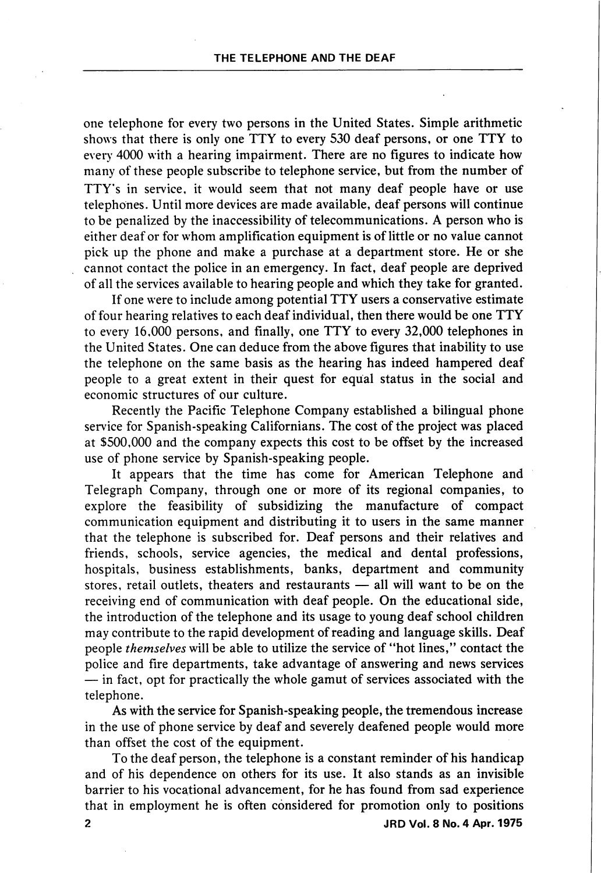one telephone for every two persons in the United States. Simple arithmetic shows that there is only one TTY to every 530 deaf persons, or one TTY to every 4000 with a hearing impairment. There are no figures to indicate how many of these people subscribe to telephone service, but from the number of TTY's in service, it would seem that not many deaf people have or use telephones. Until more devices are made available, deaf persons will continue to be penalized by the inaccessibility of telecommunications. A person who is either deaf or for whom amplification equipment is of little or no value cannot pick up the phone and make a purchase at a department store. He or she cannot contact the police in an emergency. In fact, deaf people are deprived of all the services available to hearing people and which they take for granted.

If one were to include among potential TTY users a conservative estimate of four hearing relatives to each deaf individual, then there would be one TTY to every 16,000 persons, and finally, one TTY to every 32,000 telephones in the United States. One can deduce from the above figures that inability to use the telephone on the same basis as the hearing has indeed hampered deaf people to a great extent in their quest for equal status in the social and economic structures of our culture.

Recently the Pacific Telephone Company established a bilingual phone service for Spanish-speaking Californians. The cost of the project was placed at \$500,000 and the company expects this cost to be offset by the increased use of phone service by Spanish-speaking people.

It appears that the time has come for American Telephone and Telegraph Company, through one or more of its regional companies, to explore the feasibility of subsidizing the manufacture of compact communication equipment and distributing it to users in the same manner that the telephone is subscribed for. Deaf persons and their relatives and friends, schools, service agencies, the medical and dental professions, hospitals, business establishments, banks, department and community stores, retail outlets, theaters and restaurants — all will want to be on the receiving end of communication with deaf people. On the educational side, the introduction of the telephone and its usage to young deaf school children may contribute to the rapid development of reading and language skills. Deaf people themselves will be able to utilize the service of "hot lines," contact the police and fire departments, take advantage of answering and news services — in fact, opt for practically the whole gamut of services associated with the telephone.

As with the service for Spanish-speaking people, the tremendous increase in the use of phone service by deaf and severely deafened people would more than offset the cost of the equipment.

To the deaf person, the telephone is a constant reminder of his handicap and of his dependence on others for its use. It also stands as an invisible barrier to his vocational advancement, for he has found from sad experience that in employment he is often considered for promotion only to positions